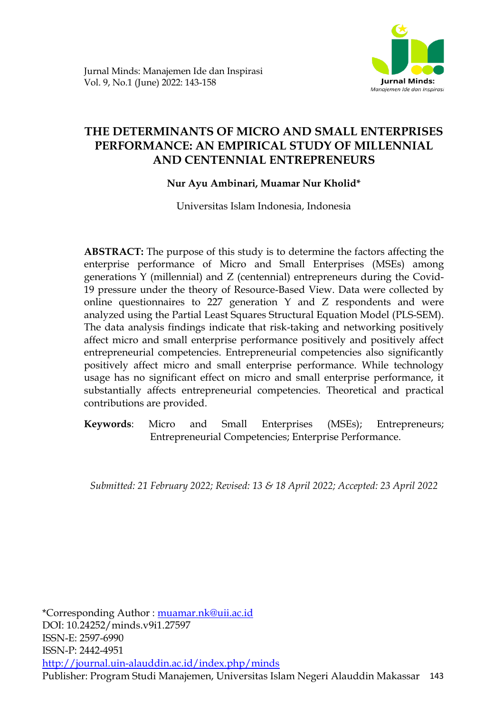

# **THE DETERMINANTS OF MICRO AND SMALL ENTERPRISES PERFORMANCE: AN EMPIRICAL STUDY OF MILLENNIAL AND CENTENNIAL ENTREPRENEURS**

## **Nur Ayu Ambinari, Muamar Nur Kholid\***

Universitas Islam Indonesia, Indonesia

**ABSTRACT:** The purpose of this study is to determine the factors affecting the enterprise performance of Micro and Small Enterprises (MSEs) among generations Y (millennial) and Z (centennial) entrepreneurs during the Covid-19 pressure under the theory of Resource-Based View. Data were collected by online questionnaires to 227 generation Y and Z respondents and were analyzed using the Partial Least Squares Structural Equation Model (PLS-SEM). The data analysis findings indicate that risk-taking and networking positively affect micro and small enterprise performance positively and positively affect entrepreneurial competencies. Entrepreneurial competencies also significantly positively affect micro and small enterprise performance. While technology usage has no significant effect on micro and small enterprise performance, it substantially affects entrepreneurial competencies. Theoretical and practical contributions are provided.

**Keywords**: Micro and Small Enterprises (MSEs); Entrepreneurs; Entrepreneurial Competencies; Enterprise Performance.

*Submitted: 21 February 2022; Revised: 13 & 18 April 2022; Accepted: 23 April 2022*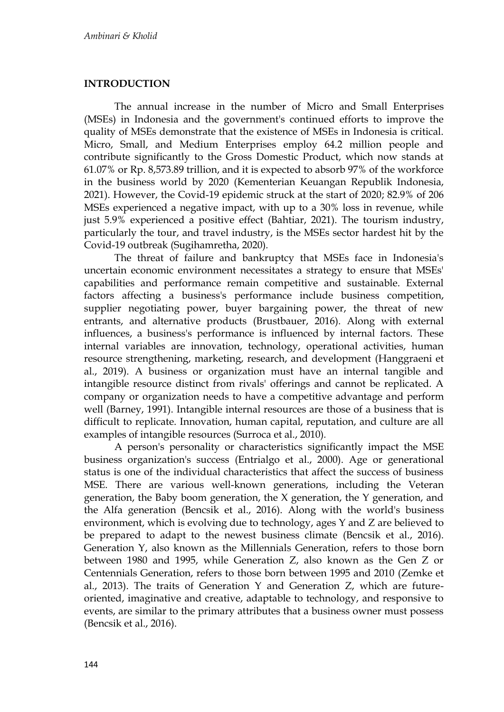## **INTRODUCTION**

The annual increase in the number of Micro and Small Enterprises (MSEs) in Indonesia and the government's continued efforts to improve the quality of MSEs demonstrate that the existence of MSEs in Indonesia is critical. Micro, Small, and Medium Enterprises employ 64.2 million people and contribute significantly to the Gross Domestic Product, which now stands at 61.07% or Rp. 8,573.89 trillion, and it is expected to absorb 97% of the workforce in the business world by 2020 (Kementerian Keuangan Republik Indonesia, 2021). However, the Covid-19 epidemic struck at the start of 2020; 82.9% of 206 MSEs experienced a negative impact, with up to a 30% loss in revenue, while just 5.9% experienced a positive effect (Bahtiar, 2021). The tourism industry, particularly the tour, and travel industry, is the MSEs sector hardest hit by the Covid-19 outbreak (Sugihamretha, 2020)*.*

The threat of failure and bankruptcy that MSEs face in Indonesia's uncertain economic environment necessitates a strategy to ensure that MSEs' capabilities and performance remain competitive and sustainable. External factors affecting a business's performance include business competition, supplier negotiating power, buyer bargaining power, the threat of new entrants, and alternative products (Brustbauer, 2016). Along with external influences, a business's performance is influenced by internal factors. These internal variables are innovation, technology, operational activities, human resource strengthening, marketing, research, and development (Hanggraeni et al., 2019). A business or organization must have an internal tangible and intangible resource distinct from rivals' offerings and cannot be replicated. A company or organization needs to have a competitive advantage and perform well (Barney, 1991). Intangible internal resources are those of a business that is difficult to replicate. Innovation, human capital, reputation, and culture are all examples of intangible resources (Surroca et al., 2010)*.*

A person's personality or characteristics significantly impact the MSE business organization's success (Entrialgo et al., 2000). Age or generational status is one of the individual characteristics that affect the success of business MSE. There are various well-known generations, including the Veteran generation, the Baby boom generation, the X generation, the Y generation, and the Alfa generation (Bencsik et al., 2016). Along with the world's business environment, which is evolving due to technology, ages Y and Z are believed to be prepared to adapt to the newest business climate (Bencsik et al., 2016). Generation Y, also known as the Millennials Generation, refers to those born between 1980 and 1995, while Generation Z, also known as the Gen Z or Centennials Generation, refers to those born between 1995 and 2010 (Zemke et al., 2013). The traits of Generation Y and Generation Z, which are futureoriented, imaginative and creative, adaptable to technology, and responsive to events, are similar to the primary attributes that a business owner must possess (Bencsik et al., 2016).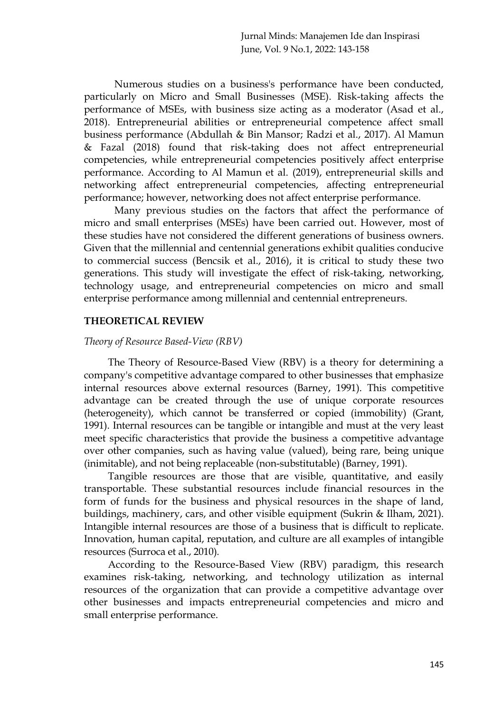Numerous studies on a business's performance have been conducted, particularly on Micro and Small Businesses (MSE). Risk-taking affects the performance of MSEs, with business size acting as a moderator (Asad et al., 2018). Entrepreneurial abilities or entrepreneurial competence affect small business performance (Abdullah & Bin Mansor; Radzi et al., 2017). Al Mamun & Fazal (2018) found that risk-taking does not affect entrepreneurial competencies, while entrepreneurial competencies positively affect enterprise performance. According to Al Mamun et al. (2019), entrepreneurial skills and networking affect entrepreneurial competencies, affecting entrepreneurial performance; however, networking does not affect enterprise performance.

Many previous studies on the factors that affect the performance of micro and small enterprises (MSEs) have been carried out. However, most of these studies have not considered the different generations of business owners. Given that the millennial and centennial generations exhibit qualities conducive to commercial success (Bencsik et al., 2016), it is critical to study these two generations. This study will investigate the effect of risk-taking, networking, technology usage, and entrepreneurial competencies on micro and small enterprise performance among millennial and centennial entrepreneurs.

#### **THEORETICAL REVIEW**

#### *Theory of Resource Based-View (RBV)*

The Theory of Resource-Based View (RBV) is a theory for determining a company's competitive advantage compared to other businesses that emphasize internal resources above external resources (Barney, 1991). This competitive advantage can be created through the use of unique corporate resources (heterogeneity), which cannot be transferred or copied (immobility) (Grant, 1991). Internal resources can be tangible or intangible and must at the very least meet specific characteristics that provide the business a competitive advantage over other companies, such as having value (valued), being rare, being unique (inimitable), and not being replaceable (non-substitutable) (Barney, 1991).

Tangible resources are those that are visible, quantitative, and easily transportable. These substantial resources include financial resources in the form of funds for the business and physical resources in the shape of land, buildings, machinery, cars, and other visible equipment (Sukrin & Ilham, 2021). Intangible internal resources are those of a business that is difficult to replicate. Innovation, human capital, reputation, and culture are all examples of intangible resources (Surroca et al., 2010)*.*

According to the Resource-Based View (RBV) paradigm, this research examines risk-taking, networking, and technology utilization as internal resources of the organization that can provide a competitive advantage over other businesses and impacts entrepreneurial competencies and micro and small enterprise performance.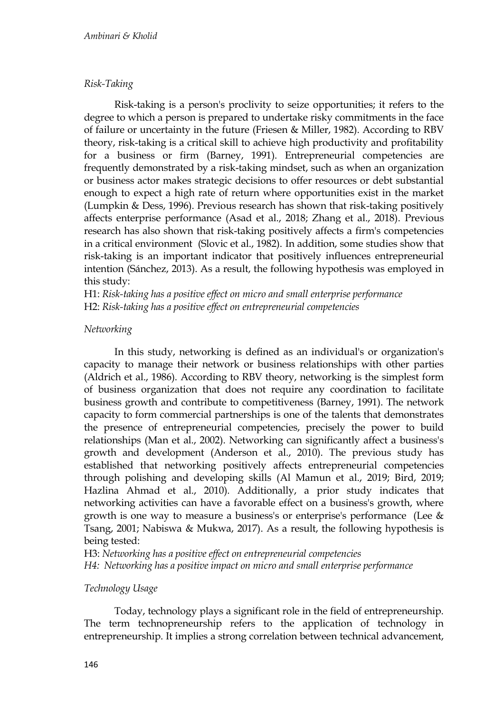## *Risk-Taking*

Risk-taking is a person's proclivity to seize opportunities; it refers to the degree to which a person is prepared to undertake risky commitments in the face of failure or uncertainty in the future (Friesen & Miller, 1982). According to RBV theory, risk-taking is a critical skill to achieve high productivity and profitability for a business or firm (Barney, 1991). Entrepreneurial competencies are frequently demonstrated by a risk-taking mindset, such as when an organization or business actor makes strategic decisions to offer resources or debt substantial enough to expect a high rate of return where opportunities exist in the market (Lumpkin & Dess, 1996). Previous research has shown that risk-taking positively affects enterprise performance (Asad et al., 2018; Zhang et al., 2018). Previous research has also shown that risk-taking positively affects a firm's competencies in a critical environment (Slovic et al., 1982). In addition, some studies show that risk-taking is an important indicator that positively influences entrepreneurial intention (Sánchez, 2013). As a result, the following hypothesis was employed in this study:

H1: *Risk-taking has a positive effect on micro and small enterprise performance* H2: *Risk-taking has a positive effect on entrepreneurial competencies*

## *Networking*

In this study, networking is defined as an individual's or organization's capacity to manage their network or business relationships with other parties (Aldrich et al., 1986). According to RBV theory, networking is the simplest form of business organization that does not require any coordination to facilitate business growth and contribute to competitiveness (Barney, 1991). The network capacity to form commercial partnerships is one of the talents that demonstrates the presence of entrepreneurial competencies, precisely the power to build relationships (Man et al., 2002). Networking can significantly affect a business's growth and development (Anderson et al., 2010). The previous study has established that networking positively affects entrepreneurial competencies through polishing and developing skills (Al Mamun et al., 2019; Bird, 2019; Hazlina Ahmad et al., 2010). Additionally, a prior study indicates that networking activities can have a favorable effect on a business's growth, where growth is one way to measure a business's or enterprise's performance (Lee & Tsang, 2001; Nabiswa & Mukwa, 2017). As a result, the following hypothesis is being tested:

H3: *Networking has a positive effect on entrepreneurial competencies H4: Networking has a positive impact on micro and small enterprise performance*

## *Technology Usage*

Today, technology plays a significant role in the field of entrepreneurship. The term technopreneurship refers to the application of technology in entrepreneurship. It implies a strong correlation between technical advancement,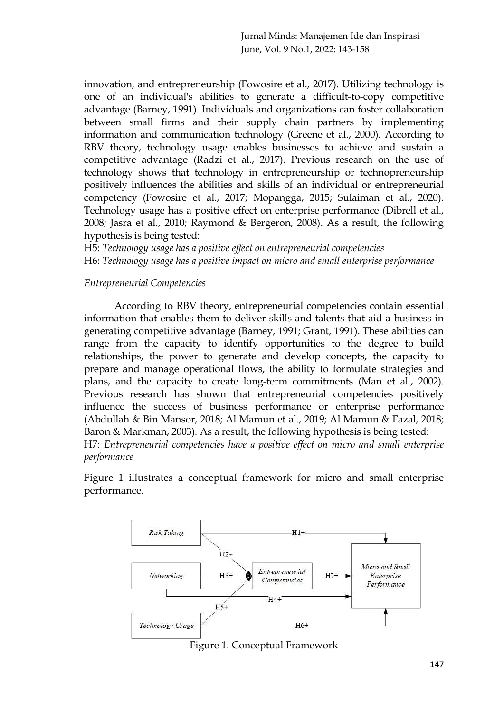innovation, and entrepreneurship (Fowosire et al., 2017). Utilizing technology is one of an individual's abilities to generate a difficult-to-copy competitive advantage (Barney, 1991). Individuals and organizations can foster collaboration between small firms and their supply chain partners by implementing information and communication technology (Greene et al., 2000). According to RBV theory, technology usage enables businesses to achieve and sustain a competitive advantage (Radzi et al., 2017). Previous research on the use of technology shows that technology in entrepreneurship or technopreneurship positively influences the abilities and skills of an individual or entrepreneurial competency (Fowosire et al., 2017; Mopangga, 2015; Sulaiman et al., 2020). Technology usage has a positive effect on enterprise performance (Dibrell et al., 2008; Jasra et al., 2010; Raymond & Bergeron, 2008). As a result, the following hypothesis is being tested:

H5: *Technology usage has a positive effect on entrepreneurial competencies* H6: *Technology usage has a positive impact on micro and small enterprise performance*

#### *Entrepreneurial Competencies*

According to RBV theory, entrepreneurial competencies contain essential information that enables them to deliver skills and talents that aid a business in generating competitive advantage (Barney, 1991; Grant, 1991). These abilities can range from the capacity to identify opportunities to the degree to build relationships, the power to generate and develop concepts, the capacity to prepare and manage operational flows, the ability to formulate strategies and plans, and the capacity to create long-term commitments (Man et al., 2002). Previous research has shown that entrepreneurial competencies positively influence the success of business performance or enterprise performance (Abdullah & Bin Mansor, 2018; Al Mamun et al., 2019; Al Mamun & Fazal, 2018; Baron & Markman, 2003)*.* As a result, the following hypothesis is being tested: H7: *Entrepreneurial competencies have a positive effect on micro and small enterprise performance*

Figure 1 illustrates a conceptual framework for micro and small enterprise performance.



Figure 1. Conceptual Framework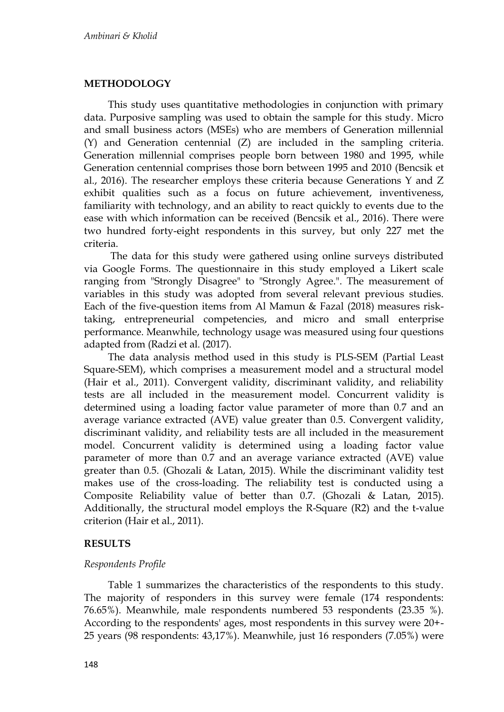#### **METHODOLOGY**

This study uses quantitative methodologies in conjunction with primary data. Purposive sampling was used to obtain the sample for this study. Micro and small business actors (MSEs) who are members of Generation millennial (Y) and Generation centennial (Z) are included in the sampling criteria. Generation millennial comprises people born between 1980 and 1995, while Generation centennial comprises those born between 1995 and 2010 (Bencsik et al., 2016). The researcher employs these criteria because Generations Y and Z exhibit qualities such as a focus on future achievement, inventiveness, familiarity with technology, and an ability to react quickly to events due to the ease with which information can be received (Bencsik et al., 2016). There were two hundred forty-eight respondents in this survey, but only 227 met the criteria.

The data for this study were gathered using online surveys distributed via Google Forms. The questionnaire in this study employed a Likert scale ranging from "Strongly Disagree" to "Strongly Agree.". The measurement of variables in this study was adopted from several relevant previous studies. Each of the five-question items from Al Mamun & Fazal (2018) measures risktaking, entrepreneurial competencies, and micro and small enterprise performance. Meanwhile, technology usage was measured using four questions adapted from (Radzi et al. (2017).

The data analysis method used in this study is PLS-SEM (Partial Least Square-SEM), which comprises a measurement model and a structural model (Hair et al., 2011). Convergent validity, discriminant validity, and reliability tests are all included in the measurement model. Concurrent validity is determined using a loading factor value parameter of more than 0.7 and an average variance extracted (AVE) value greater than 0.5. Convergent validity, discriminant validity, and reliability tests are all included in the measurement model. Concurrent validity is determined using a loading factor value parameter of more than 0.7 and an average variance extracted (AVE) value greater than 0.5. (Ghozali & Latan, 2015). While the discriminant validity test makes use of the cross-loading. The reliability test is conducted using a Composite Reliability value of better than 0.7. (Ghozali & Latan, 2015). Additionally, the structural model employs the R-Square (R2) and the t-value criterion (Hair et al., 2011).

#### **RESULTS**

#### *Respondents Profile*

Table 1 summarizes the characteristics of the respondents to this study. The majority of responders in this survey were female (174 respondents: 76.65%). Meanwhile, male respondents numbered 53 respondents (23.35 %). According to the respondents' ages, most respondents in this survey were 20+- 25 years (98 respondents: 43,17%). Meanwhile, just 16 responders (7.05%) were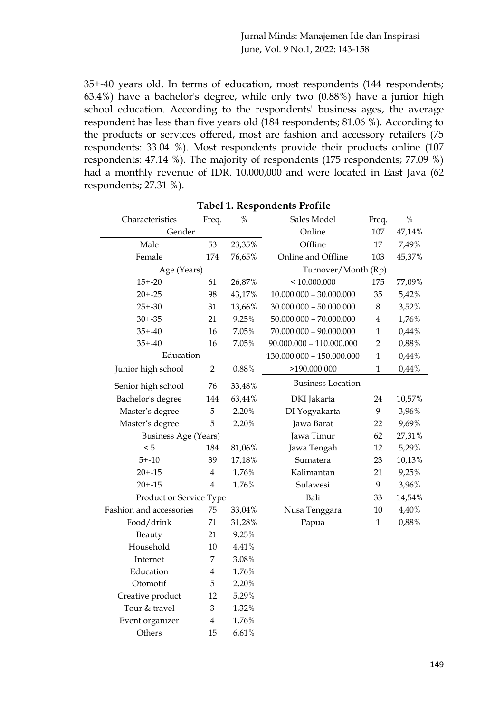35+-40 years old. In terms of education, most respondents (144 respondents; 63.4%) have a bachelor's degree, while only two (0.88%) have a junior high school education. According to the respondents' business ages, the average respondent has less than five years old (184 respondents; 81.06 %). According to the products or services offered, most are fashion and accessory retailers (75 respondents: 33.04 %). Most respondents provide their products online (107 respondents: 47.14 %). The majority of respondents (175 respondents; 77.09 %) had a monthly revenue of IDR. 10,000,000 and were located in East Java (62 respondents; 27.31 %).

| Characteristics             | Freq.          | $\%$   | Sales Model                | Freq.          | $\%$   |
|-----------------------------|----------------|--------|----------------------------|----------------|--------|
| Gender                      |                |        | Online                     | 107            | 47,14% |
| Male                        | 53<br>23,35%   |        | Offline                    | 17             | 7,49%  |
| Female                      | 174            | 76,65% | Online and Offline         |                | 45,37% |
| Age (Years)                 |                |        | Turnover/Month (Rp)        |                |        |
| $15 + -20$                  | 61             | 26,87% | < 10.000.000               | 175            | 77,09% |
| $20 + -25$                  | 98             | 43,17% | $10.000.000 - 30.000.000$  | 35             | 5,42%  |
| $25 + -30$                  | 31             | 13,66% | $30.000.000 - 50.000.000$  | 8              | 3,52%  |
| $30 + -35$                  | 21             | 9,25%  | $50.000.000 - 70.000.000$  | 4              | 1,76%  |
| $35 + -40$                  | 16             | 7,05%  | $70.000.000 - 90.000.000$  | $\mathbf{1}$   | 0,44%  |
| $35 + -40$                  | 16             | 7,05%  | $90.000.000 - 110.000.000$ | $\overline{2}$ | 0,88%  |
| Education                   |                |        | 130.000.000 - 150.000.000  | $\mathbf{1}$   | 0,44%  |
| Junior high school          | $\overline{2}$ | 0,88%  | >190.000.000               | $\mathbf{1}$   | 0,44%  |
| Senior high school          | 76             | 33,48% | <b>Business Location</b>   |                |        |
| Bachelor's degree           | 144            | 63,44% | DKI Jakarta                | 24             | 10,57% |
| Master's degree             | 5              | 2,20%  | DI Yogyakarta              | 9              | 3,96%  |
| Master's degree             | 5              | 2,20%  | Jawa Barat                 | 22             | 9,69%  |
| <b>Business Age (Years)</b> |                |        | Jawa Timur                 | 62             | 27,31% |
| < 5                         | 184            | 81,06% | Jawa Tengah                | 12             | 5,29%  |
| $5 + -10$                   | 39             | 17,18% | Sumatera                   | 23             | 10,13% |
| $20 + -15$                  | $\overline{4}$ | 1,76%  | Kalimantan                 | 21             | 9,25%  |
| $20 + -15$                  | 4              | 1,76%  | Sulawesi                   | 9              | 3,96%  |
| Product or Service Type     |                | Bali   | 33                         | 14,54%         |        |
| Fashion and accessories     | 75             | 33,04% | Nusa Tenggara              | 10             | 4,40%  |
| Food/drink                  | 71             | 31,28% | Papua                      | $\mathbf{1}$   | 0,88%  |
| Beauty                      | 21             | 9,25%  |                            |                |        |
| Household                   | 10             | 4,41%  |                            |                |        |
| Internet                    | 7              | 3,08%  |                            |                |        |
| Education                   | 4              | 1,76%  |                            |                |        |
| Otomotif                    | 5              | 2,20%  |                            |                |        |
| Creative product            | 12             | 5,29%  |                            |                |        |
| Tour & travel               | 3              | 1,32%  |                            |                |        |
| Event organizer             | $\overline{4}$ | 1,76%  |                            |                |        |
| Others                      | 15             | 6,61%  |                            |                |        |

**Tabel 1. Respondents Profile**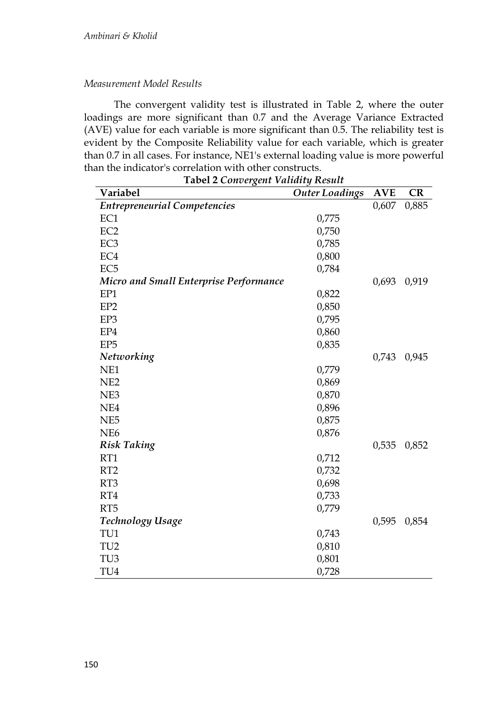## *Measurement Model Results*

The convergent validity test is illustrated in Table 2, where the outer loadings are more significant than 0.7 and the Average Variance Extracted (AVE) value for each variable is more significant than 0.5. The reliability test is evident by the Composite Reliability value for each variable, which is greater than 0.7 in all cases. For instance, NE1's external loading value is more powerful than the indicator's correlation with other constructs.

| <b>Tabel 2 Convergent Validity Result</b>     |                       |            |       |  |
|-----------------------------------------------|-----------------------|------------|-------|--|
| Variabel                                      | <b>Outer Loadings</b> | <b>AVE</b> | CR    |  |
| <b>Entrepreneurial Competencies</b>           |                       | 0,607      | 0,885 |  |
| EC1                                           | 0,775                 |            |       |  |
| EC <sub>2</sub>                               | 0,750                 |            |       |  |
| EC <sub>3</sub>                               | 0,785                 |            |       |  |
| EC4                                           | 0,800                 |            |       |  |
| EC <sub>5</sub>                               | 0,784                 |            |       |  |
| <b>Micro and Small Enterprise Performance</b> |                       | 0,693      | 0,919 |  |
| EP1                                           | 0,822                 |            |       |  |
| EP <sub>2</sub>                               | 0,850                 |            |       |  |
| EP3                                           | 0,795                 |            |       |  |
| EP4                                           | 0,860                 |            |       |  |
| EP <sub>5</sub>                               | 0,835                 |            |       |  |
| Networking                                    |                       | 0,743      | 0,945 |  |
| NE1                                           | 0,779                 |            |       |  |
| NE <sub>2</sub>                               | 0,869                 |            |       |  |
| NE3                                           | 0,870                 |            |       |  |
| NE4                                           | 0,896                 |            |       |  |
| NE <sub>5</sub>                               | 0,875                 |            |       |  |
| NE <sub>6</sub>                               | 0,876                 |            |       |  |
| <b>Risk Taking</b>                            |                       | 0,535      | 0,852 |  |
| RT1                                           | 0,712                 |            |       |  |
| RT <sub>2</sub>                               | 0,732                 |            |       |  |
| RT <sub>3</sub>                               | 0,698                 |            |       |  |
| RT4                                           | 0,733                 |            |       |  |
| RT <sub>5</sub>                               | 0,779                 |            |       |  |
| Technology Usage                              |                       | 0,595      | 0,854 |  |
| TU1                                           | 0,743                 |            |       |  |
| TU <sub>2</sub>                               | 0,810                 |            |       |  |
| TU <sub>3</sub>                               | 0,801                 |            |       |  |
| TU4                                           | 0,728                 |            |       |  |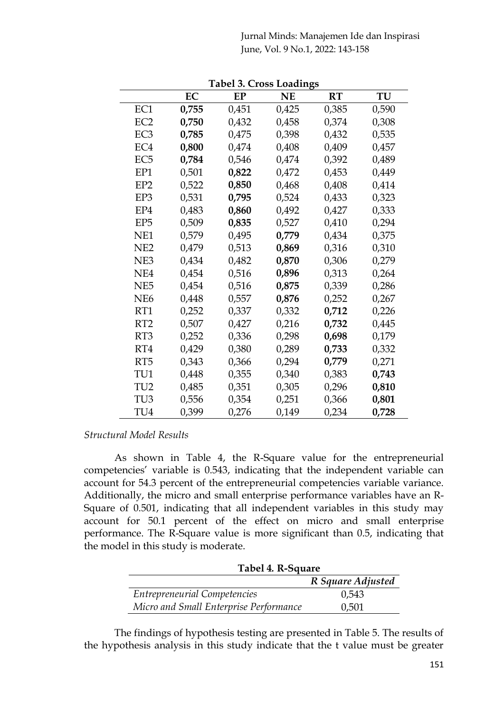Jurnal Minds: Manajemen Ide dan Inspirasi June, Vol. 9 No.1, 2022: 143-158

|                 |       | тарсі э. Стозу праціндэ |       |       |       |
|-----------------|-------|-------------------------|-------|-------|-------|
|                 | EС    | EP                      | NE    | RT    | TU    |
| EC1             | 0,755 | 0,451                   | 0,425 | 0,385 | 0,590 |
| EC <sub>2</sub> | 0,750 | 0,432                   | 0,458 | 0,374 | 0,308 |
| EC <sub>3</sub> | 0,785 | 0,475                   | 0,398 | 0,432 | 0,535 |
| EC4             | 0,800 | 0,474                   | 0,408 | 0,409 | 0,457 |
| EC <sub>5</sub> | 0,784 | 0,546                   | 0,474 | 0,392 | 0,489 |
| EP1             | 0,501 | 0,822                   | 0,472 | 0,453 | 0,449 |
| EP2             | 0,522 | 0,850                   | 0,468 | 0,408 | 0,414 |
| EP3             | 0,531 | 0,795                   | 0,524 | 0,433 | 0,323 |
| EP4             | 0,483 | 0,860                   | 0,492 | 0,427 | 0,333 |
| EP5             | 0,509 | 0,835                   | 0,527 | 0,410 | 0,294 |
| NE1             | 0,579 | 0,495                   | 0,779 | 0,434 | 0,375 |
| NE <sub>2</sub> | 0,479 | 0,513                   | 0,869 | 0,316 | 0,310 |
| NE3             | 0,434 | 0,482                   | 0,870 | 0,306 | 0,279 |
| NE4             | 0,454 | 0,516                   | 0,896 | 0,313 | 0,264 |
| NE5             | 0,454 | 0,516                   | 0,875 | 0,339 | 0,286 |
| NE <sub>6</sub> | 0,448 | 0,557                   | 0,876 | 0,252 | 0,267 |
| RT1             | 0,252 | 0,337                   | 0,332 | 0,712 | 0,226 |
| RT <sub>2</sub> | 0,507 | 0,427                   | 0,216 | 0,732 | 0,445 |
| RT3             | 0,252 | 0,336                   | 0,298 | 0,698 | 0,179 |
| RT4             | 0,429 | 0,380                   | 0,289 | 0,733 | 0,332 |
| RT5             | 0,343 | 0,366                   | 0,294 | 0,779 | 0,271 |
| TU1             | 0,448 | 0,355                   | 0,340 | 0,383 | 0,743 |
| TU2             | 0,485 | 0,351                   | 0,305 | 0,296 | 0,810 |
| TU3             | 0,556 | 0,354                   | 0,251 | 0,366 | 0,801 |
| TU4             | 0,399 | 0,276                   | 0,149 | 0,234 | 0,728 |

**Tabel 3. Cross Loadings**

#### *Structural Model Results*

As shown in Table 4, the R-Square value for the entrepreneurial competencies' variable is 0.543, indicating that the independent variable can account for 54.3 percent of the entrepreneurial competencies variable variance. Additionally, the micro and small enterprise performance variables have an R-Square of 0.501, indicating that all independent variables in this study may account for 50.1 percent of the effect on micro and small enterprise performance. The R-Square value is more significant than 0.5, indicating that the model in this study is moderate.

|                                        | Tabel 4. R-Square |  |  |
|----------------------------------------|-------------------|--|--|
|                                        | R Square Adjusted |  |  |
| <b>Entrepreneurial Competencies</b>    | 0,543             |  |  |
| Micro and Small Enterprise Performance | 0,501             |  |  |

The findings of hypothesis testing are presented in Table 5. The results of the hypothesis analysis in this study indicate that the t value must be greater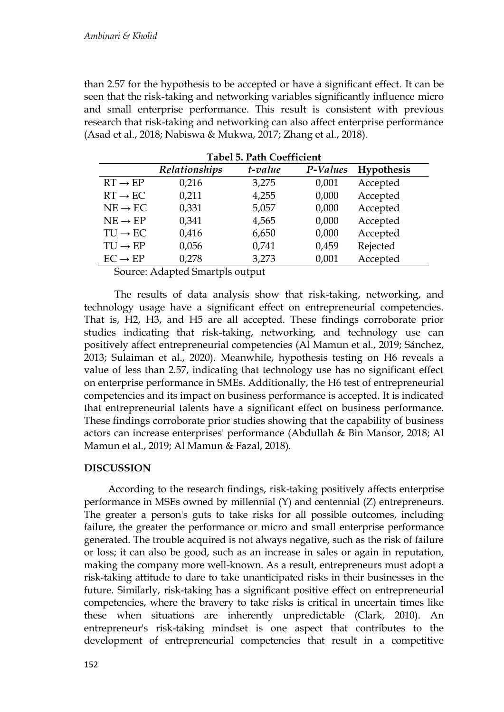than 2.57 for the hypothesis to be accepted or have a significant effect. It can be seen that the risk-taking and networking variables significantly influence micro and small enterprise performance. This result is consistent with previous research that risk-taking and networking can also affect enterprise performance (Asad et al., 2018; Nabiswa & Mukwa, 2017; Zhang et al., 2018)*.* 

| 180010118011C0011101011 |               |         |          |            |  |
|-------------------------|---------------|---------|----------|------------|--|
|                         | Relationships | t-value | P-Values | Hypothesis |  |
| $RT \rightarrow EP$     | 0,216         | 3,275   | 0,001    | Accepted   |  |
| $RT \rightarrow EC$     | 0,211         | 4,255   | 0,000    | Accepted   |  |
| $NE \rightarrow EC$     | 0,331         | 5,057   | 0,000    | Accepted   |  |
| $NE \rightarrow EP$     | 0,341         | 4,565   | 0,000    | Accepted   |  |
| $TU \rightarrow EC$     | 0,416         | 6,650   | 0,000    | Accepted   |  |
| $TU \rightarrow EP$     | 0,056         | 0,741   | 0,459    | Rejected   |  |
| $EC \rightarrow EP$     | 0,278         | 3,273   | 0,001    | Accepted   |  |

**Tabel 5. Path Coefficient**

Source: Adapted Smartpls output

The results of data analysis show that risk-taking, networking, and technology usage have a significant effect on entrepreneurial competencies. That is, H2, H3, and H5 are all accepted. These findings corroborate prior studies indicating that risk-taking, networking, and technology use can positively affect entrepreneurial competencies (Al Mamun et al., 2019; Sánchez, 2013; Sulaiman et al., 2020). Meanwhile, hypothesis testing on H6 reveals a value of less than 2.57, indicating that technology use has no significant effect on enterprise performance in SMEs. Additionally, the H6 test of entrepreneurial competencies and its impact on business performance is accepted. It is indicated that entrepreneurial talents have a significant effect on business performance. These findings corroborate prior studies showing that the capability of business actors can increase enterprises' performance (Abdullah & Bin Mansor, 2018; Al Mamun et al., 2019; Al Mamun & Fazal, 2018)*.*

## **DISCUSSION**

According to the research findings, risk-taking positively affects enterprise performance in MSEs owned by millennial (Y) and centennial (Z) entrepreneurs. The greater a person's guts to take risks for all possible outcomes, including failure, the greater the performance or micro and small enterprise performance generated. The trouble acquired is not always negative, such as the risk of failure or loss; it can also be good, such as an increase in sales or again in reputation, making the company more well-known. As a result, entrepreneurs must adopt a risk-taking attitude to dare to take unanticipated risks in their businesses in the future. Similarly, risk-taking has a significant positive effect on entrepreneurial competencies, where the bravery to take risks is critical in uncertain times like these when situations are inherently unpredictable (Clark, 2010). An entrepreneur's risk-taking mindset is one aspect that contributes to the development of entrepreneurial competencies that result in a competitive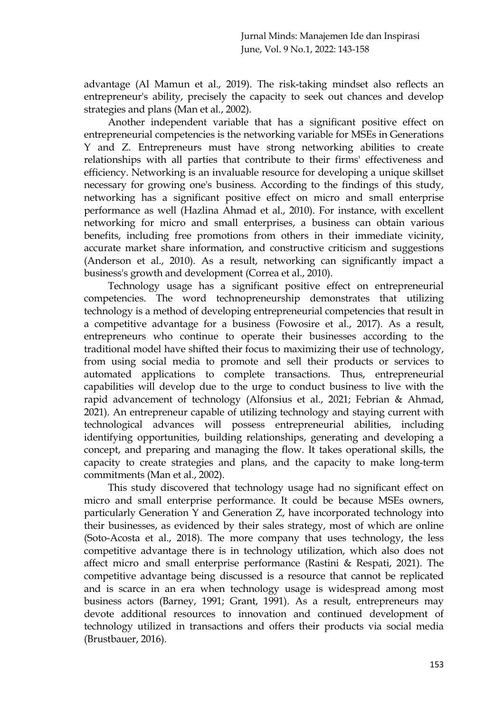advantage (Al Mamun et al., 2019). The risk-taking mindset also reflects an entrepreneur's ability, precisely the capacity to seek out chances and develop strategies and plans (Man et al., 2002).

Another independent variable that has a significant positive effect on entrepreneurial competencies is the networking variable for MSEs in Generations Y and Z. Entrepreneurs must have strong networking abilities to create relationships with all parties that contribute to their firms' effectiveness and efficiency. Networking is an invaluable resource for developing a unique skillset necessary for growing one's business. According to the findings of this study, networking has a significant positive effect on micro and small enterprise performance as well (Hazlina Ahmad et al., 2010). For instance, with excellent networking for micro and small enterprises, a business can obtain various benefits, including free promotions from others in their immediate vicinity, accurate market share information, and constructive criticism and suggestions (Anderson et al., 2010). As a result, networking can significantly impact a business's growth and development (Correa et al., 2010).

Technology usage has a significant positive effect on entrepreneurial competencies. The word technopreneurship demonstrates that utilizing technology is a method of developing entrepreneurial competencies that result in a competitive advantage for a business (Fowosire et al., 2017). As a result, entrepreneurs who continue to operate their businesses according to the traditional model have shifted their focus to maximizing their use of technology, from using social media to promote and sell their products or services to automated applications to complete transactions. Thus, entrepreneurial capabilities will develop due to the urge to conduct business to live with the rapid advancement of technology (Alfonsius et al., 2021; Febrian & Ahmad, 2021). An entrepreneur capable of utilizing technology and staying current with technological advances will possess entrepreneurial abilities, including identifying opportunities, building relationships, generating and developing a concept, and preparing and managing the flow. It takes operational skills, the capacity to create strategies and plans, and the capacity to make long-term commitments (Man et al., 2002).

This study discovered that technology usage had no significant effect on micro and small enterprise performance. It could be because MSEs owners, particularly Generation Y and Generation Z, have incorporated technology into their businesses, as evidenced by their sales strategy, most of which are online (Soto-Acosta et al., 2018). The more company that uses technology, the less competitive advantage there is in technology utilization, which also does not affect micro and small enterprise performance (Rastini & Respati, 2021). The competitive advantage being discussed is a resource that cannot be replicated and is scarce in an era when technology usage is widespread among most business actors (Barney, 1991; Grant, 1991). As a result, entrepreneurs may devote additional resources to innovation and continued development of technology utilized in transactions and offers their products via social media (Brustbauer, 2016).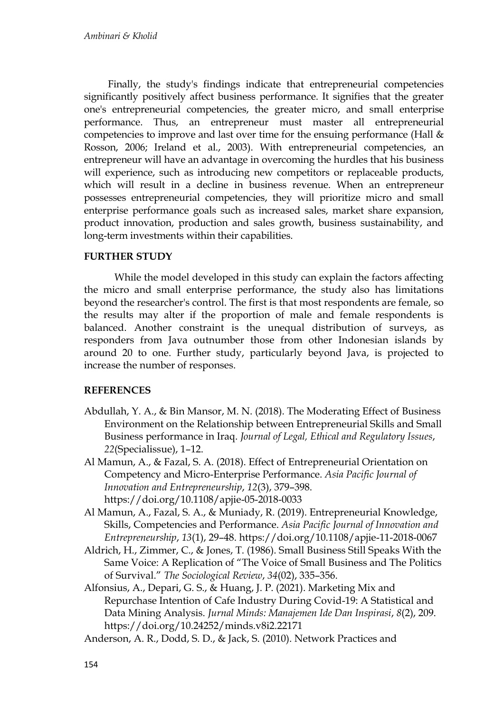Finally, the study's findings indicate that entrepreneurial competencies significantly positively affect business performance. It signifies that the greater one's entrepreneurial competencies, the greater micro, and small enterprise performance. Thus, an entrepreneur must master all entrepreneurial competencies to improve and last over time for the ensuing performance (Hall & Rosson, 2006; Ireland et al., 2003). With entrepreneurial competencies, an entrepreneur will have an advantage in overcoming the hurdles that his business will experience, such as introducing new competitors or replaceable products, which will result in a decline in business revenue. When an entrepreneur possesses entrepreneurial competencies, they will prioritize micro and small enterprise performance goals such as increased sales, market share expansion, product innovation, production and sales growth, business sustainability, and long-term investments within their capabilities.

## **FURTHER STUDY**

While the model developed in this study can explain the factors affecting the micro and small enterprise performance, the study also has limitations beyond the researcher's control. The first is that most respondents are female, so the results may alter if the proportion of male and female respondents is balanced. Another constraint is the unequal distribution of surveys, as responders from Java outnumber those from other Indonesian islands by around 20 to one. Further study, particularly beyond Java, is projected to increase the number of responses.

## **REFERENCES**

- Abdullah, Y. A., & Bin Mansor, M. N. (2018). The Moderating Effect of Business Environment on the Relationship between Entrepreneurial Skills and Small Business performance in Iraq. *Journal of Legal, Ethical and Regulatory Issues*, *22*(Specialissue), 1–12.
- Al Mamun, A., & Fazal, S. A. (2018). Effect of Entrepreneurial Orientation on Competency and Micro-Enterprise Performance. *Asia Pacific Journal of Innovation and Entrepreneurship*, *12*(3), 379–398. https://doi.org/10.1108/apjie-05-2018-0033
- Al Mamun, A., Fazal, S. A., & Muniady, R. (2019). Entrepreneurial Knowledge, Skills, Competencies and Performance. *Asia Pacific Journal of Innovation and Entrepreneurship*, *13*(1), 29–48. https://doi.org/10.1108/apjie-11-2018-0067
- Aldrich, H., Zimmer, C., & Jones, T. (1986). Small Business Still Speaks With the Same Voice: A Replication of "The Voice of Small Business and The Politics of Survival." *The Sociological Review*, *34*(02), 335–356.
- Alfonsius, A., Depari, G. S., & Huang, J. P. (2021). Marketing Mix and Repurchase Intention of Cafe Industry During Covid-19: A Statistical and Data Mining Analysis. *Jurnal Minds: Manajemen Ide Dan Inspirasi*, *8*(2), 209. https://doi.org/10.24252/minds.v8i2.22171
- Anderson, A. R., Dodd, S. D., & Jack, S. (2010). Network Practices and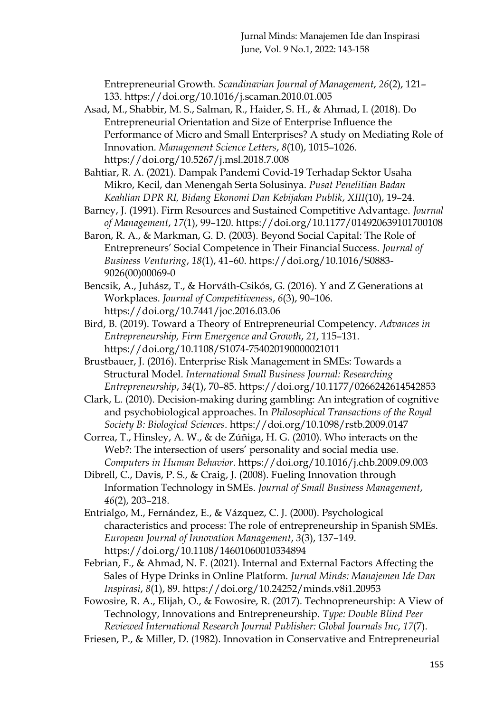Entrepreneurial Growth. *Scandinavian Journal of Management*, *26*(2), 121– 133. https://doi.org/10.1016/j.scaman.2010.01.005

- Asad, M., Shabbir, M. S., Salman, R., Haider, S. H., & Ahmad, I. (2018). Do Entrepreneurial Orientation and Size of Enterprise Influence the Performance of Micro and Small Enterprises? A study on Mediating Role of Innovation. *Management Science Letters*, *8*(10), 1015–1026. https://doi.org/10.5267/j.msl.2018.7.008
- Bahtiar, R. A. (2021). Dampak Pandemi Covid-19 Terhadap Sektor Usaha Mikro, Kecil, dan Menengah Serta Solusinya. *Pusat Penelitian Badan Keahlian DPR RI, Bidang Ekonomi Dan Kebijakan Publik*, *XIII*(10), 19–24.
- Barney, J. (1991). Firm Resources and Sustained Competitive Advantage. *Journal of Management*, *17*(1), 99–120. https://doi.org/10.1177/014920639101700108
- Baron, R. A., & Markman, G. D. (2003). Beyond Social Capital: The Role of Entrepreneurs' Social Competence in Their Financial Success. *Journal of Business Venturing*, *18*(1), 41–60. https://doi.org/10.1016/S0883- 9026(00)00069-0
- Bencsik, A., Juhász, T., & Horváth-Csikós, G. (2016). Y and Z Generations at Workplaces. *Journal of Competitiveness*, *6*(3), 90–106. https://doi.org/10.7441/joc.2016.03.06
- Bird, B. (2019). Toward a Theory of Entrepreneurial Competency. *Advances in Entrepreneurship, Firm Emergence and Growth*, *21*, 115–131. https://doi.org/10.1108/S1074-754020190000021011
- Brustbauer, J. (2016). Enterprise Risk Management in SMEs: Towards a Structural Model. *International Small Business Journal: Researching Entrepreneurship*, *34*(1), 70–85. https://doi.org/10.1177/0266242614542853
- Clark, L. (2010). Decision-making during gambling: An integration of cognitive and psychobiological approaches. In *Philosophical Transactions of the Royal Society B: Biological Sciences*. https://doi.org/10.1098/rstb.2009.0147
- Correa, T., Hinsley, A. W., & de Zúñiga, H. G. (2010). Who interacts on the Web?: The intersection of users' personality and social media use. *Computers in Human Behavior*. https://doi.org/10.1016/j.chb.2009.09.003
- Dibrell, C., Davis, P. S., & Craig, J. (2008). Fueling Innovation through Information Technology in SMEs. *Journal of Small Business Management*, *46*(2), 203–218.
- Entrialgo, M., Fernández, E., & Vázquez, C. J. (2000). Psychological characteristics and process: The role of entrepreneurship in Spanish SMEs. *European Journal of Innovation Management*, *3*(3), 137–149. https://doi.org/10.1108/14601060010334894
- Febrian, F., & Ahmad, N. F. (2021). Internal and External Factors Affecting the Sales of Hype Drinks in Online Platform. *Jurnal Minds: Manajemen Ide Dan Inspirasi*, *8*(1), 89. https://doi.org/10.24252/minds.v8i1.20953
- Fowosire, R. A., Elijah, O., & Fowosire, R. (2017). Technopreneurship: A View of Technology, Innovations and Entrepreneurship. *Type: Double Blind Peer Reviewed International Research Journal Publisher: Global Journals Inc*, *17*(7).
- Friesen, P., & Miller, D. (1982). Innovation in Conservative and Entrepreneurial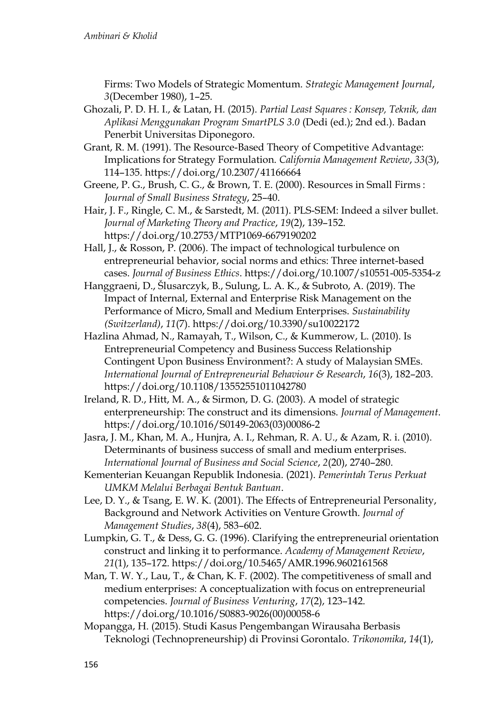Firms: Two Models of Strategic Momentum. *Strategic Management Journal*, *3*(December 1980), 1–25.

- Ghozali, P. D. H. I., & Latan, H. (2015). *Partial Least Squares : Konsep, Teknik, dan Aplikasi Menggunakan Program SmartPLS 3.0* (Dedi (ed.); 2nd ed.). Badan Penerbit Universitas Diponegoro.
- Grant, R. M. (1991). The Resource-Based Theory of Competitive Advantage: Implications for Strategy Formulation. *California Management Review*, *33*(3), 114–135. https://doi.org/10.2307/41166664
- Greene, P. G., Brush, C. G., & Brown, T. E. (2000). Resources in Small Firms : *Journal of Small Business Strategy*, 25–40.
- Hair, J. F., Ringle, C. M., & Sarstedt, M. (2011). PLS-SEM: Indeed a silver bullet. *Journal of Marketing Theory and Practice*, *19*(2), 139–152. https://doi.org/10.2753/MTP1069-6679190202
- Hall, J., & Rosson, P. (2006). The impact of technological turbulence on entrepreneurial behavior, social norms and ethics: Three internet-based cases. *Journal of Business Ethics*. https://doi.org/10.1007/s10551-005-5354-z
- Hanggraeni, D., Šlusarczyk, B., Sulung, L. A. K., & Subroto, A. (2019). The Impact of Internal, External and Enterprise Risk Management on the Performance of Micro, Small and Medium Enterprises. *Sustainability (Switzerland)*, *11*(7). https://doi.org/10.3390/su10022172
- Hazlina Ahmad, N., Ramayah, T., Wilson, C., & Kummerow, L. (2010). Is Entrepreneurial Competency and Business Success Relationship Contingent Upon Business Environment?: A study of Malaysian SMEs. *International Journal of Entrepreneurial Behaviour & Research*, *16*(3), 182–203. https://doi.org/10.1108/13552551011042780
- Ireland, R. D., Hitt, M. A., & Sirmon, D. G. (2003). A model of strategic enterpreneurship: The construct and its dimensions. *Journal of Management*. https://doi.org/10.1016/S0149-2063(03)00086-2
- Jasra, J. M., Khan, M. A., Hunjra, A. I., Rehman, R. A. U., & Azam, R. i. (2010). Determinants of business success of small and medium enterprises. *International Journal of Business and Social Science*, *2*(20), 2740–280.
- Kementerian Keuangan Republik Indonesia. (2021). *Pemerintah Terus Perkuat UMKM Melalui Berbagai Bentuk Bantuan*.
- Lee, D. Y., & Tsang, E. W. K. (2001). The Effects of Entrepreneurial Personality, Background and Network Activities on Venture Growth. *Journal of Management Studies*, *38*(4), 583–602.
- Lumpkin, G. T., & Dess, G. G. (1996). Clarifying the entrepreneurial orientation construct and linking it to performance. *Academy of Management Review*, *21*(1), 135–172. https://doi.org/10.5465/AMR.1996.9602161568
- Man, T. W. Y., Lau, T., & Chan, K. F. (2002). The competitiveness of small and medium enterprises: A conceptualization with focus on entrepreneurial competencies. *Journal of Business Venturing*, *17*(2), 123–142. https://doi.org/10.1016/S0883-9026(00)00058-6
- Mopangga, H. (2015). Studi Kasus Pengembangan Wirausaha Berbasis Teknologi (Technopreneurship) di Provinsi Gorontalo. *Trikonomika*, *14*(1),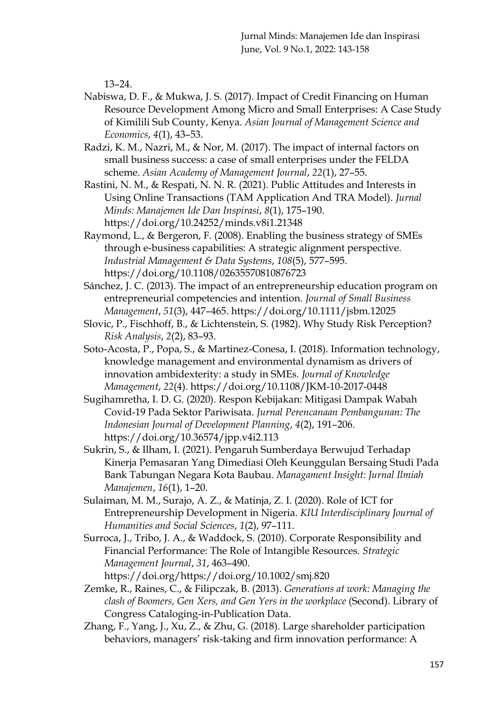13–24.

Nabiswa, D. F., & Mukwa, J. S. (2017). Impact of Credit Financing on Human Resource Development Among Micro and Small Enterprises: A Case Study of Kimilili Sub County, Kenya. *Asian Journal of Management Science and Economics*, *4*(1), 43–53.

Radzi, K. M., Nazri, M., & Nor, M. (2017). The impact of internal factors on small business success: a case of small enterprises under the FELDA scheme. *Asian Academy of Management Journal*, *22*(1), 27–55.

- Rastini, N. M., & Respati, N. N. R. (2021). Public Attitudes and Interests in Using Online Transactions (TAM Application And TRA Model). *Jurnal Minds: Manajemen Ide Dan Inspirasi*, *8*(1), 175–190. https://doi.org/10.24252/minds.v8i1.21348
- Raymond, L., & Bergeron, F. (2008). Enabling the business strategy of SMEs through e‐business capabilities: A strategic alignment perspective. *Industrial Management & Data Systems*, *108*(5), 577–595. https://doi.org/10.1108/02635570810876723
- Sánchez, J. C. (2013). The impact of an entrepreneurship education program on entrepreneurial competencies and intention. *Journal of Small Business Management*, *51*(3), 447–465. https://doi.org/10.1111/jsbm.12025
- Slovic, P., Fischhoff, B., & Lichtenstein, S. (1982). Why Study Risk Perception? *Risk Analysis*, *2*(2), 83–93.
- Soto-Acosta, P., Popa, S., & Martinez-Conesa, I. (2018). Information technology, knowledge management and environmental dynamism as drivers of innovation ambidexterity: a study in SMEs. *Journal of Knowledge Management*, *22*(4). https://doi.org/10.1108/JKM-10-2017-0448
- Sugihamretha, I. D. G. (2020). Respon Kebijakan: Mitigasi Dampak Wabah Covid-19 Pada Sektor Pariwisata. *Jurnal Perencanaan Pembangunan: The Indonesian Journal of Development Planning*, *4*(2), 191–206. https://doi.org/10.36574/jpp.v4i2.113
- Sukrin, S., & Ilham, I. (2021). Pengaruh Sumberdaya Berwujud Terhadap Kinerja Pemasaran Yang Dimediasi Oleh Keunggulan Bersaing Studi Pada Bank Tabungan Negara Kota Baubau. *Managament Insight: Jurnal Ilmiah Manajemen*, *16*(1), 1–20.
- Sulaiman, M. M., Surajo, A. Z., & Matinja, Z. I. (2020). Role of ICT for Entrepreneurship Development in Nigeria. *KIU Interdisciplinary Journal of Humanities and Social Sciences*, *1*(2), 97–111.
- Surroca, J., Tribo, J. A., & Waddock, S. (2010). Corporate Responsibility and Financial Performance: The Role of Intangible Resources. *Strategic Management Journal*, *31*, 463–490. https://doi.org/https://doi.org/10.1002/smj.820
- Zemke, R., Raines, C., & Filipczak, B. (2013). *Generations at work: Managing the clash of Boomers, Gen Xers, and Gen Yers in the workplace* (Second). Library of Congress Cataloging-in-Publication Data.
- Zhang, F., Yang, J., Xu, Z., & Zhu, G. (2018). Large shareholder participation behaviors, managers' risk-taking and firm innovation performance: A